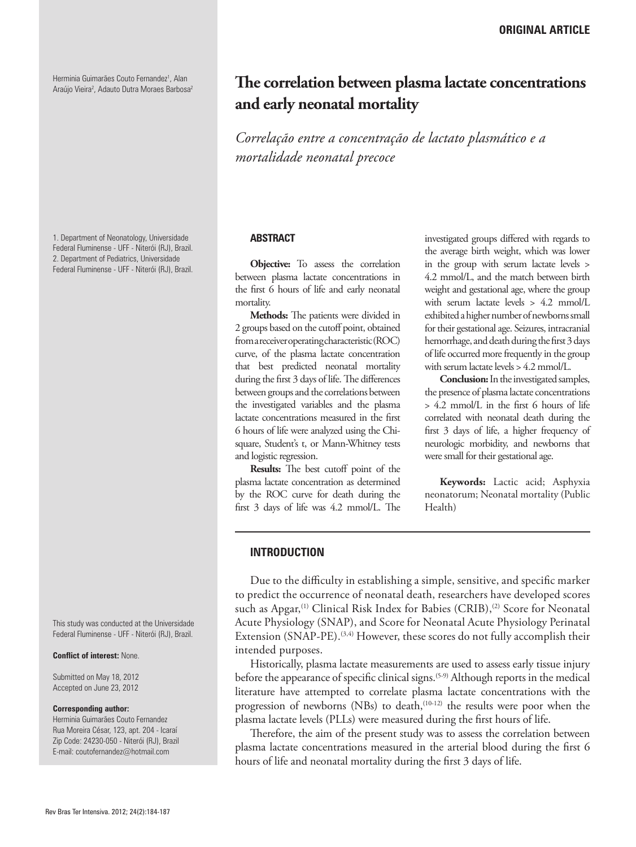Herminia Guimarães Couto Fernandez<sup>1</sup>, Alan Araújo Vieira<sup>2</sup>, Adauto Dutra Moraes Barbosa<sup>2</sup>

1. Department of Neonatology, Universidade Federal Fluminense - UFF - Niterói (RJ), Brazil. 2. Department of Pediatrics, Universidade Federal Fluminense - UFF - Niterói (RJ), Brazil.

This study was conducted at the Universidade Federal Fluminense - UFF - Niterói (RJ), Brazil.

**Conflict of interest:** None.

Submitted on May 18, 2012 Accepted on June 23, 2012

#### **Corresponding author:**

Herminia Guimarães Couto Fernandez Rua Moreira César, 123, apt. 204 - Icaraí Zip Code: 24230-050 - Niterói (RJ), Brazil E-mail: coutofernandez@hotmail.com

# **The correlation between plasma lactate concentrations and early neonatal mortality**

*Correlação entre a concentração de lactato plasmático e a mortalidade neonatal precoce*

### **ABSTRACT**

**Objective:** To assess the correlation between plasma lactate concentrations in the first 6 hours of life and early neonatal mortality.

**Methods:** The patients were divided in 2 groups based on the cutoff point, obtained from a receiver operating characteristic (ROC) curve, of the plasma lactate concentration that best predicted neonatal mortality during the first 3 days of life. The differences between groups and the correlations between the investigated variables and the plasma lactate concentrations measured in the first 6 hours of life were analyzed using the Chisquare, Student's t, or Mann-Whitney tests and logistic regression.

**Results:** The best cutoff point of the plasma lactate concentration as determined by the ROC curve for death during the first 3 days of life was 4.2 mmol/L. The investigated groups differed with regards to the average birth weight, which was lower in the group with serum lactate levels > 4.2 mmol/L, and the match between birth weight and gestational age, where the group with serum lactate levels > 4.2 mmol/L exhibited a higher number of newborns small for their gestational age. Seizures, intracranial hemorrhage, and death during the first 3 days of life occurred more frequently in the group with serum lactate levels > 4.2 mmol/L.

**Conclusion:** In the investigated samples, the presence of plasma lactate concentrations > 4.2 mmol/L in the first 6 hours of life correlated with neonatal death during the first 3 days of life, a higher frequency of neurologic morbidity, and newborns that were small for their gestational age.

**Keywords:** Lactic acid; Asphyxia neonatorum; Neonatal mortality (Public Health)

## **INTRODUCTION**

Due to the difficulty in establishing a simple, sensitive, and specific marker to predict the occurrence of neonatal death, researchers have developed scores such as Apgar,<sup>(1)</sup> Clinical Risk Index for Babies (CRIB),<sup>(2)</sup> Score for Neonatal Acute Physiology (SNAP), and Score for Neonatal Acute Physiology Perinatal Extension (SNAP-PE).<sup>(3,4)</sup> However, these scores do not fully accomplish their intended purposes.

Historically, plasma lactate measurements are used to assess early tissue injury before the appearance of specific clinical signs.<sup>(5-9)</sup> Although reports in the medical literature have attempted to correlate plasma lactate concentrations with the progression of newborns (NBs) to death, $(10-12)$  the results were poor when the plasma lactate levels (PLLs) were measured during the first hours of life.

Therefore, the aim of the present study was to assess the correlation between plasma lactate concentrations measured in the arterial blood during the first 6 hours of life and neonatal mortality during the first 3 days of life.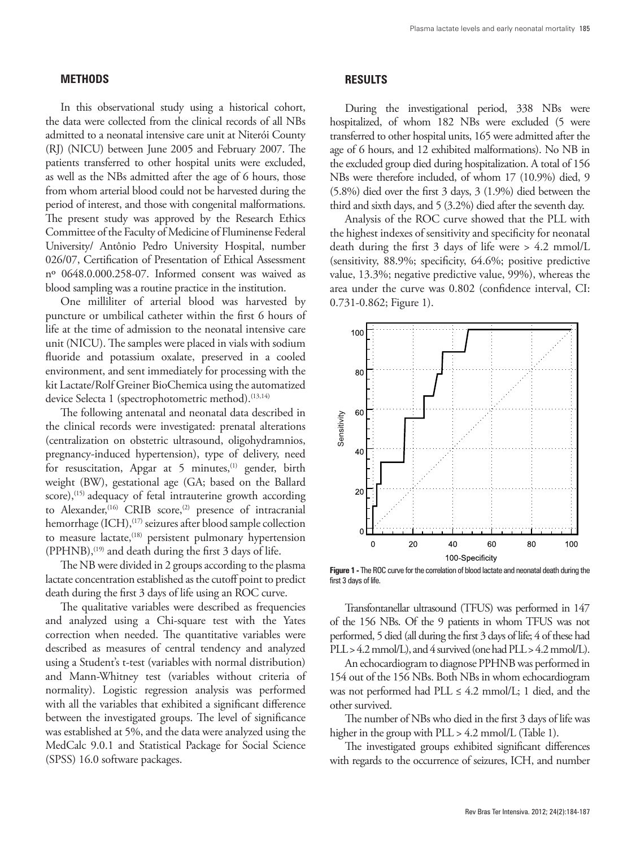# **METHODS**

In this observational study using a historical cohort, the data were collected from the clinical records of all NBs admitted to a neonatal intensive care unit at Niterói County (RJ) (NICU) between June 2005 and February 2007. The patients transferred to other hospital units were excluded, as well as the NBs admitted after the age of 6 hours, those from whom arterial blood could not be harvested during the period of interest, and those with congenital malformations. The present study was approved by the Research Ethics Committee of the Faculty of Medicine of Fluminense Federal University/ Antônio Pedro University Hospital, number 026/07, Certification of Presentation of Ethical Assessment nº 0648.0.000.258-07. Informed consent was waived as blood sampling was a routine practice in the institution.

One milliliter of arterial blood was harvested by puncture or umbilical catheter within the first 6 hours of life at the time of admission to the neonatal intensive care unit (NICU). The samples were placed in vials with sodium fluoride and potassium oxalate, preserved in a cooled environment, and sent immediately for processing with the kit Lactate/Rolf Greiner BioChemica using the automatized device Selecta 1 (spectrophotometric method).<sup>(13,14)</sup>

The following antenatal and neonatal data described in the clinical records were investigated: prenatal alterations (centralization on obstetric ultrasound, oligohydramnios, pregnancy-induced hypertension), type of delivery, need for resuscitation, Apgar at 5 minutes,<sup>(1)</sup> gender, birth weight (BW), gestational age (GA; based on the Ballard score),<sup>(15)</sup> adequacy of fetal intrauterine growth according to Alexander,<sup>(16)</sup> CRIB score,<sup>(2)</sup> presence of intracranial hemorrhage (ICH),<sup>(17)</sup> seizures after blood sample collection to measure lactate,<sup>(18)</sup> persistent pulmonary hypertension (PPHNB),<sup>(19)</sup> and death during the first 3 days of life.

The NB were divided in 2 groups according to the plasma lactate concentration established as the cutoff point to predict death during the first 3 days of life using an ROC curve.

The qualitative variables were described as frequencies and analyzed using a Chi-square test with the Yates correction when needed. The quantitative variables were described as measures of central tendency and analyzed using a Student's t-test (variables with normal distribution) and Mann-Whitney test (variables without criteria of normality). Logistic regression analysis was performed with all the variables that exhibited a significant difference between the investigated groups. The level of significance was established at 5%, and the data were analyzed using the MedCalc 9.0.1 and Statistical Package for Social Science (SPSS) 16.0 software packages.

## **RESULTS**

During the investigational period, 338 NBs were hospitalized, of whom 182 NBs were excluded (5 were transferred to other hospital units, 165 were admitted after the age of 6 hours, and 12 exhibited malformations). No NB in the excluded group died during hospitalization. A total of 156 NBs were therefore included, of whom 17 (10.9%) died, 9 (5.8%) died over the first 3 days, 3 (1.9%) died between the third and sixth days, and 5 (3.2%) died after the seventh day.

Analysis of the ROC curve showed that the PLL with the highest indexes of sensitivity and specificity for neonatal death during the first 3 days of life were > 4.2 mmol/L (sensitivity, 88.9%; specificity, 64.6%; positive predictive value, 13.3%; negative predictive value, 99%), whereas the area under the curve was 0.802 (confidence interval, CI: 0.731-0.862; Figure 1).



**Figure 1 -** The ROC curve for the correlation of blood lactate and neonatal death during the first 3 days of life.

Transfontanellar ultrasound (TFUS) was performed in 147 of the 156 NBs. Of the 9 patients in whom TFUS was not performed, 5 died (all during the first 3 days of life; 4 of these had PLL > 4.2 mmol/L), and 4 survived (one had PLL > 4.2 mmol/L).

An echocardiogram to diagnose PPHNB was performed in 154 out of the 156 NBs. Both NBs in whom echocardiogram was not performed had PLL  $\leq 4.2$  mmol/L; 1 died, and the other survived.

The number of NBs who died in the first 3 days of life was higher in the group with PLL > 4.2 mmol/L (Table 1).

The investigated groups exhibited significant differences with regards to the occurrence of seizures, ICH, and number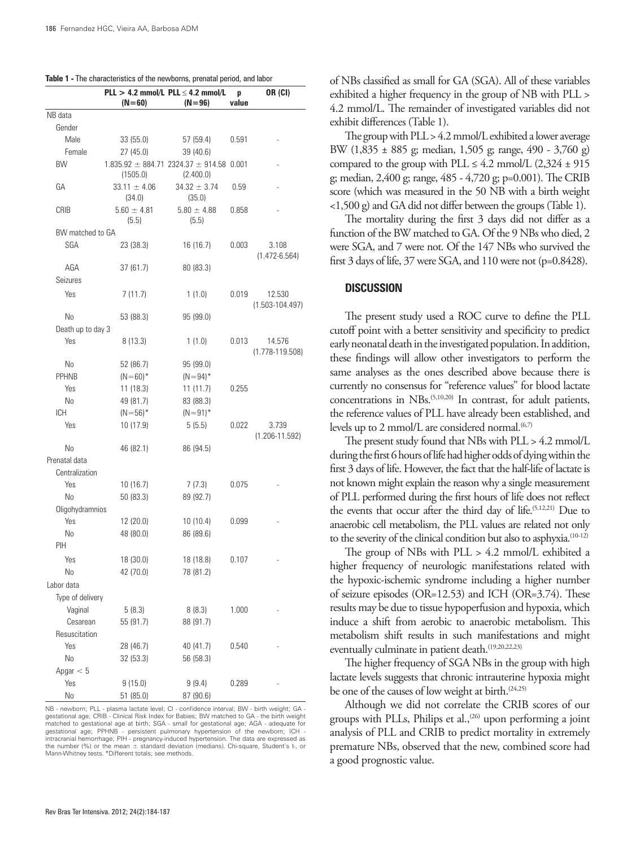|                   |                            | $PLL > 4.2$ mmol/L $PLL \leq 4.2$ mmol/L                      | p     | <b>OR (CI)</b>                |
|-------------------|----------------------------|---------------------------------------------------------------|-------|-------------------------------|
|                   | $(N=60)$                   | $(N = 96)$                                                    | value |                               |
| NB data           |                            |                                                               |       |                               |
| Gender            |                            |                                                               |       |                               |
| Male              | 33 (55.0)                  | 57 (59.4)                                                     | 0.591 |                               |
| Female            | 27(45.0)                   | 39 (40.6)                                                     |       |                               |
| <b>BW</b>         | (1505.0)                   | $1.835.92 \pm 884.71$ 2324.37 $\pm$ 914.58 0.001<br>(2.400.0) |       |                               |
| GА                | $33.11 \pm 4.06$<br>(34.0) | $34.32 \pm 3.74$<br>(35.0)                                    | 0.59  |                               |
| CRIB              | $5.60 \pm 4.81$<br>(5.5)   | $5.80 \pm 4.88$<br>(5.5)                                      | 0.858 |                               |
| BW matched to GA  |                            |                                                               |       |                               |
| SGA               | 23 (38.3)                  | 16 (16.7)                                                     | 0.003 | 3.108<br>$(1.472 - 6.564)$    |
| AGA               | 37 (61.7)                  | 80 (83.3)                                                     |       |                               |
| Seizures          |                            |                                                               |       |                               |
| Yes               | 7(11.7)                    | 1(1.0)                                                        | 0.019 | 12.530<br>$(1.503 - 104.497)$ |
| No                | 53 (88.3)                  | 95 (99.0)                                                     |       |                               |
| Death up to day 3 |                            |                                                               |       |                               |
| Yes               | 8(13.3)                    | 1(1.0)                                                        | 0.013 | 14.576<br>$(1.778 - 119.508)$ |
| No                | 52 (86.7)                  | 95 (99.0)                                                     |       |                               |
| <b>PPHNB</b>      | $(N=60)*$                  | $(N=94)^*$                                                    |       |                               |
| Yes               | 11 (18.3)                  | 11 (11.7)                                                     | 0.255 |                               |
| No                | 49 (81.7)                  | 83 (88.3)                                                     |       |                               |
| ICH               | $(N=56)^*$                 | $(N = 91)^*$                                                  |       |                               |
| Yes               | 10 (17.9)                  | 5(5.5)                                                        | 0.022 | 3.739<br>$(1.206 - 11.592)$   |
| No                | 46 (82.1)                  | 86 (94.5)                                                     |       |                               |
| Prenatal data     |                            |                                                               |       |                               |
| Centralization    |                            |                                                               |       |                               |
| Yes               | 10 (16.7)                  | 7(7.3)                                                        | 0.075 |                               |
| N <sub>o</sub>    | 50(83.3)                   | 89 (92.7)                                                     |       |                               |
| Oligohydramnios   |                            |                                                               |       |                               |
| <b>Yes</b>        | 12 (20.0)                  | 10(10.4)                                                      | 0.099 |                               |
| No                | 48 (80.0)                  | 86 (89.6)                                                     |       |                               |
| PIH               |                            |                                                               |       |                               |
| Yes               | 18 (30.0)                  | 18 (18.8)                                                     | 0.107 |                               |
| No                | 42 (70.0)                  | 78 (81.2)                                                     |       |                               |
| Labor data        |                            |                                                               |       |                               |
| Type of delivery  |                            |                                                               |       |                               |
| Vaginal           | 5(8.3)                     | 8(8.3)                                                        | 1.000 |                               |
| Cesarean          | 55 (91.7)                  | 88 (91.7)                                                     |       |                               |
| Resuscitation     |                            |                                                               |       |                               |
| Yes               | 28 (46.7)                  | 40 (41.7)                                                     | 0.540 |                               |
| No                | 32(53.3)                   | 56 (58.3)                                                     |       |                               |
| Apgar $< 5$       |                            |                                                               |       |                               |
| Yes               | 9(15.0)                    | 9(9.4)                                                        | 0.289 |                               |
| No                | 51(85.0)                   | 87 (90.6)                                                     |       |                               |

NB - newborn; PLL - plasma lactate level; CI - confidence interval; BW - birth weight; GA gestational age; CRIB - Clinical Risk Index for Babies; BW matched to GA - the birth weight matched to gestational age at birth; SGA - small for gestational age; AGA - adequate for gestational age; PPHNB - persistent pulmonary hypertension of the newborn; ICH intracranial hemorrhage; PIH - pregnancy-induced hypertension. The data are expressed as the number (%) or the mean  $\pm$  standard deviation (medians). Chi-square, Student's t-, or Mann-Whitney tests. \*Different totals; see methods.

of NBs classified as small for GA (SGA). All of these variables exhibited a higher frequency in the group of NB with PLL > 4.2 mmol/L. The remainder of investigated variables did not exhibit differences (Table 1).

The group with PLL > 4.2 mmol/L exhibited a lower average BW (1,835 ± 885 g; median, 1,505 g; range, 490 - 3,760 g) compared to the group with PLL  $\leq 4.2$  mmol/L (2,324  $\pm$  915) g; median, 2,400 g; range, 485 - 4,720 g; p=0.001). The CRIB score (which was measured in the 50 NB with a birth weight <1,500 g) and GA did not differ between the groups (Table 1).

The mortality during the first 3 days did not differ as a function of the BW matched to GA. Of the 9 NBs who died, 2 were SGA, and 7 were not. Of the 147 NBs who survived the first 3 days of life, 37 were SGA, and 110 were not (p=0.8428).

## **DISCUSSION**

The present study used a ROC curve to define the PLL cutoff point with a better sensitivity and specificity to predict early neonatal death in the investigated population. In addition, these findings will allow other investigators to perform the same analyses as the ones described above because there is currently no consensus for "reference values" for blood lactate concentrations in NBs.(5,10,20) In contrast, for adult patients, the reference values of PLL have already been established, and levels up to 2 mmol/L are considered normal. $(6,7)$ 

The present study found that NBs with PLL > 4.2 mmol/L during the first 6 hours of life had higher odds of dying within the first 3 days of life. However, the fact that the half-life of lactate is not known might explain the reason why a single measurement of PLL performed during the first hours of life does not reflect the events that occur after the third day of life.(5,12,21) Due to anaerobic cell metabolism, the PLL values are related not only to the severity of the clinical condition but also to asphyxia.(10-12)

The group of NBs with PLL > 4.2 mmol/L exhibited a higher frequency of neurologic manifestations related with the hypoxic-ischemic syndrome including a higher number of seizure episodes (OR=12.53) and ICH (OR=3.74). These results may be due to tissue hypoperfusion and hypoxia, which induce a shift from aerobic to anaerobic metabolism. This metabolism shift results in such manifestations and might eventually culminate in patient death.<sup>(19,20,22,23)</sup>

The higher frequency of SGA NBs in the group with high lactate levels suggests that chronic intrauterine hypoxia might be one of the causes of low weight at birth.<sup>(24,25)</sup>

Although we did not correlate the CRIB scores of our groups with PLLs, Philips et al., $(26)$  upon performing a joint analysis of PLL and CRIB to predict mortality in extremely premature NBs, observed that the new, combined score had a good prognostic value.